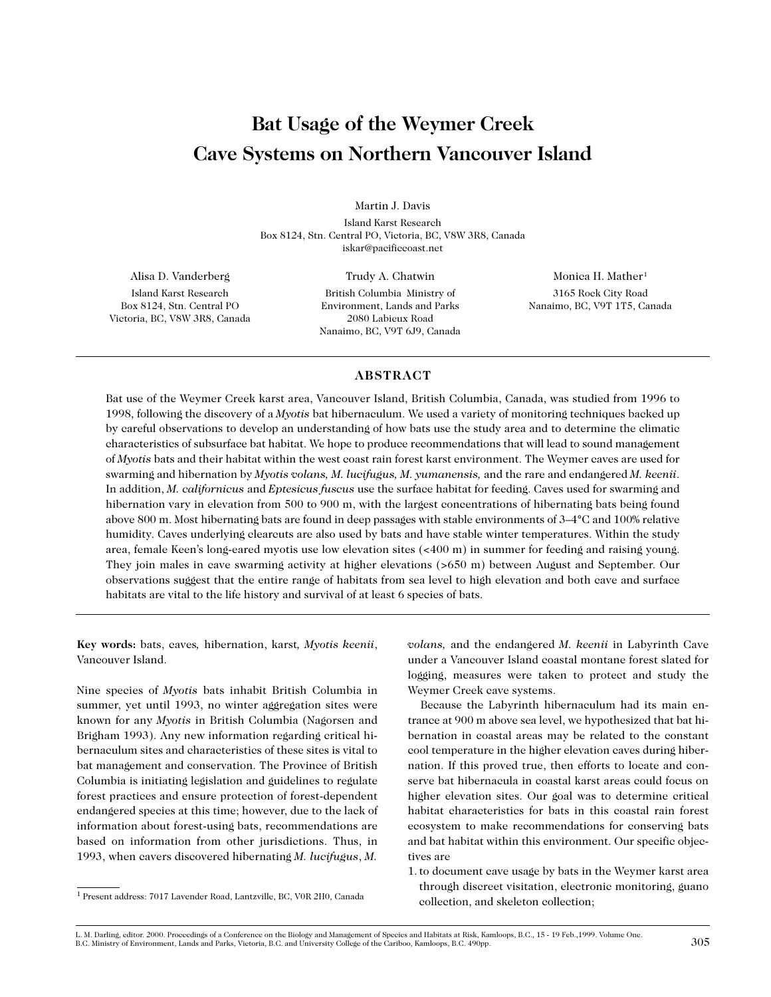# **Bat Usage of the Weymer Creek Cave Systems on Northern Vancouver Island**

Martin J. Davis

Island Karst Research Box 8124, Stn. Central PO, Victoria, BC, V8W 3R8, Canada iskar@pacificcoast.net

Alisa D. Vanderberg Island Karst Research Box 8124, Stn. Central PO Victoria, BC, V8W 3R8, Canada

Trudy A. Chatwin British Columbia Ministry of Environment, Lands and Parks 2080 Labieux Road Nanaimo, BC, V9T 6J9, Canada

Monica H. Mather<sup>1</sup> 3165 Rock City Road Nanaimo, BC, V9T 1T5, Canada

# **ABSTRACT**

Bat use of the Weymer Creek karst area, Vancouver Island, British Columbia, Canada, was studied from 1996 to 1998, following the discovery of a *Myotis* bat hibernaculum. We used a variety of monitoring techniques backed up by careful observations to develop an understanding of how bats use the study area and to determine the climatic characteristics of subsurface bat habitat. We hope to produce recommendations that will lead to sound management of *Myotis* bats and their habitat within the west coast rain forest karst environment. The Weymer caves are used for swarming and hibernation by *Myotis volans, M. lucifugus, M. yumanensis,* and the rare and endangered *M. keenii*. In addition, *M. californicus* and *Eptesicus fuscus* use the surface habitat for feeding. Caves used for swarming and hibernation vary in elevation from 500 to 900 m, with the largest concentrations of hibernating bats being found above 800 m. Most hibernating bats are found in deep passages with stable environments of 3–4°C and 100% relative humidity. Caves underlying clearcuts are also used by bats and have stable winter temperatures. Within the study area, female Keen's long-eared myotis use low elevation sites (<400 m) in summer for feeding and raising young. They join males in cave swarming activity at higher elevations (>650 m) between August and September. Our observations suggest that the entire range of habitats from sea level to high elevation and both cave and surface habitats are vital to the life history and survival of at least 6 species of bats.

**Key words:** bats, caves*,* hibernation, karst*, Myotis keenii*, Vancouver Island.

Nine species of *Myotis* bats inhabit British Columbia in summer, yet until 1993, no winter aggregation sites were known for any *Myotis* in British Columbia (Nagorsen and Brigham 1993). Any new information regarding critical hibernaculum sites and characteristics of these sites is vital to bat management and conservation. The Province of British Columbia is initiating legislation and guidelines to regulate forest practices and ensure protection of forest-dependent endangered species at this time; however, due to the lack of information about forest-using bats, recommendations are based on information from other jurisdictions. Thus, in 1993, when cavers discovered hibernating *M. lucifugus*, *M.*

*volans,* and the endangered *M. keenii* in Labyrinth Cave under a Vancouver Island coastal montane forest slated for logging, measures were taken to protect and study the Weymer Creek cave systems.

Because the Labyrinth hibernaculum had its main entrance at 900 m above sea level, we hypothesized that bat hibernation in coastal areas may be related to the constant cool temperature in the higher elevation caves during hibernation. If this proved true, then efforts to locate and conserve bat hibernacula in coastal karst areas could focus on higher elevation sites. Our goal was to determine critical habitat characteristics for bats in this coastal rain forest ecosystem to make recommendations for conserving bats and bat habitat within this environment. Our specific objectives are

1. to document cave usage by bats in the Weymer karst area through discreet visitation, electronic monitoring, guano collection, and skeleton collection;

L. M. Darling, editor. 2000. Proceedings of a Conference on the Biology and Management of Species and Habitats at Risk, Kamloops, B.C., 15 - 19 Feb.,1999. Volume One. B.C. Ministry of Environment, Lands and Parks, Victoria, B.C. and University College of the Cariboo, Kamloops, B.C. 490pp. 305

<sup>1</sup> Present address: 7017 Lavender Road, Lantzville, BC, V0R 2H0, Canada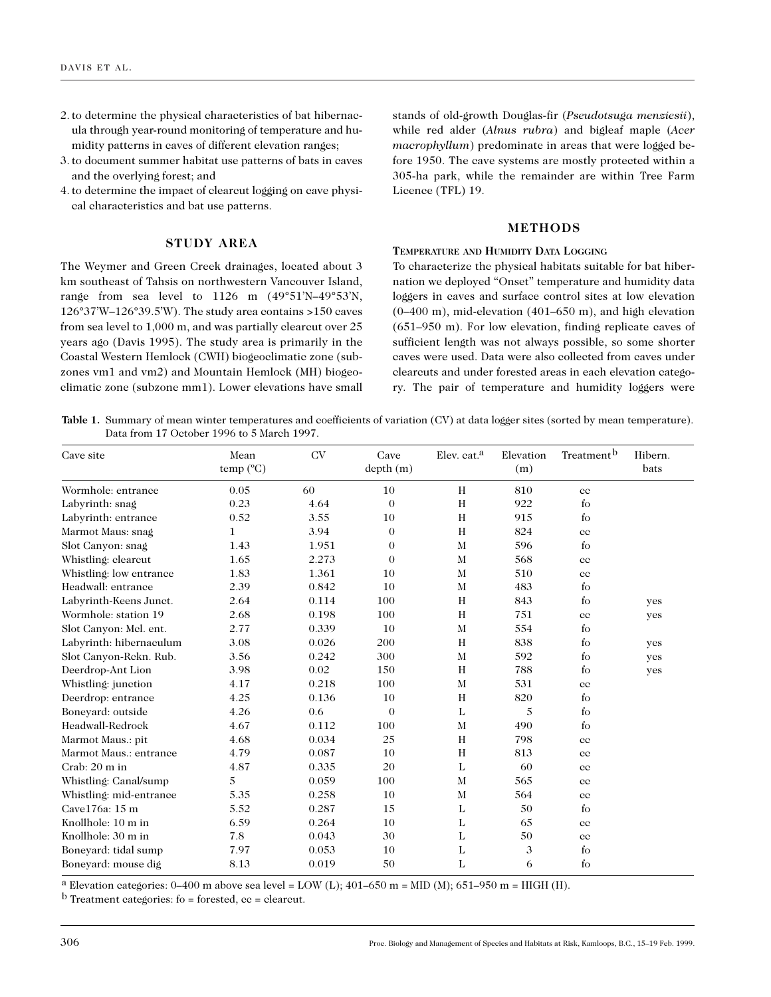- 2. to determine the physical characteristics of bat hibernacula through year-round monitoring of temperature and humidity patterns in caves of different elevation ranges;
- 3. to document summer habitat use patterns of bats in caves and the overlying forest; and
- 4. to determine the impact of clearcut logging on cave physical characteristics and bat use patterns.

# **STUDY AREA**

The Weymer and Green Creek drainages, located about 3 km southeast of Tahsis on northwestern Vancouver Island, range from sea level to 1126 m (49°51'N–49°53'N, 126°37'W–126°39.5'W). The study area contains >150 caves from sea level to 1,000 m, and was partially clearcut over 25 years ago (Davis 1995). The study area is primarily in the Coastal Western Hemlock (CWH) biogeoclimatic zone (subzones vm1 and vm2) and Mountain Hemlock (MH) biogeoclimatic zone (subzone mm1). Lower elevations have small

stands of old-growth Douglas-fir (*Pseudotsuga menziesii*), while red alder (*Alnus rubra*) and bigleaf maple (*Acer macrophyllum*) predominate in areas that were logged before 1950. The cave systems are mostly protected within a 305-ha park, while the remainder are within Tree Farm Licence (TFL) 19.

#### **METHODS**

# **TEMPERATURE AND HUMIDITY DATA LOGGING**

To characterize the physical habitats suitable for bat hibernation we deployed "Onset" temperature and humidity data loggers in caves and surface control sites at low elevation (0–400 m), mid-elevation (401–650 m), and high elevation (651–950 m). For low elevation, finding replicate caves of sufficient length was not always possible, so some shorter caves were used. Data were also collected from caves under clearcuts and under forested areas in each elevation category. The pair of temperature and humidity loggers were

Table 1. Summary of mean winter temperatures and coefficients of variation (CV) at data logger sites (sorted by mean temperature). Data from 17 October 1996 to 5 March 1997.

| Cave site               | Mean<br>temp (°C) | <b>CV</b> | Cave<br>depth(m) | Elev. cat. <sup>a</sup> | Elevation<br>(m) | Treatment <sup>b</sup> | Hibern.<br>bats |
|-------------------------|-------------------|-----------|------------------|-------------------------|------------------|------------------------|-----------------|
| Wormhole: entrance      | 0.05              | 60        | 10               | H                       | 810              | $_{\rm cc}$            |                 |
| Labyrinth: snag         | 0.23              | 4.64      | $\Omega$         | H                       | 922              | $f_{\rm O}$            |                 |
| Labyrinth: entrance     | 0.52              | 3.55      | 10               | H                       | 915              | $f_{\rm O}$            |                 |
| Marmot Maus: snag       | $\mathbf{1}$      | 3.94      | $\Omega$         | H                       | 824              | $_{\rm cc}$            |                 |
| Slot Canyon: snag       | 1.43              | 1.951     | $\Omega$         | M                       | 596              | fo                     |                 |
| Whistling: clearcut     | 1.65              | 2.273     | $\Omega$         | M                       | 568              | $_{\rm cc}$            |                 |
| Whistling: low entrance | 1.83              | 1.361     | 10               | $\mathbf M$             | 510              | $_{\rm cc}$            |                 |
| Headwall: entrance      | 2.39              | 0.842     | 10               | M                       | 483              | $f_{\rm O}$            |                 |
| Labyrinth-Keens Junct.  | 2.64              | 0.114     | 100              | H                       | 843              | $f_{\rm O}$            | yes             |
| Wormhole: station 19    | 2.68              | 0.198     | 100              | H                       | 751              | $_{\rm cc}$            | yes             |
| Slot Canyon: Mel. ent.  | 2.77              | 0.339     | 10               | M                       | 554              | $f_{O}$                |                 |
| Labyrinth: hibernaculum | 3.08              | 0.026     | 200              | H                       | 838              | $f_{\rm O}$            | yes             |
| Slot Canyon-Rekn. Rub.  | 3.56              | 0.242     | 300              | M                       | 592              | $f_{O}$                | yes             |
| Deerdrop-Ant Lion       | 3.98              | 0.02      | 150              | H                       | 788              | $f_{\rm O}$            | yes             |
| Whistling: junction     | 4.17              | 0.218     | 100              | M                       | 531              | $_{\rm cc}$            |                 |
| Deerdrop: entrance      | 4.25              | 0.136     | 10               | H                       | 820              | $f_{\rm O}$            |                 |
| Bonevard: outside       | 4.26              | 0.6       | $\Omega$         | L                       | 5                | $f_{\rm O}$            |                 |
| Headwall-Redrock        | 4.67              | 0.112     | 100              | M                       | 490              | $f_{O}$                |                 |
| Marmot Maus.: pit       | 4.68              | 0.034     | 25               | H                       | 798              | $_{\rm cc}$            |                 |
| Marmot Maus.: entrance  | 4.79              | 0.087     | 10               | H                       | 813              | $_{\rm cc}$            |                 |
| Crab: 20 m in           | 4.87              | 0.335     | 20               | L                       | 60               | $_{\rm cc}$            |                 |
| Whistling: Canal/sump   | 5                 | 0.059     | 100              | M                       | 565              | $_{\rm cc}$            |                 |
| Whistling: mid-entrance | 5.35              | 0.258     | 10               | M                       | 564              | $_{\rm cc}$            |                 |
| Cave176a: 15 m          | 5.52              | 0.287     | 15               | L                       | 50               | $f_{\rm O}$            |                 |
| Knollhole: 10 m in      | 6.59              | 0.264     | 10               | L                       | 65               | $_{\rm cc}$            |                 |
| Knollhole: 30 m in      | 7.8               | 0.043     | 30               | L                       | 50               | $_{\rm cc}$            |                 |
| Boneyard: tidal sump    | 7.97              | 0.053     | 10               | L                       | 3                | $f_{\rm O}$            |                 |
| Boneyard: mouse dig     | 8.13              | 0.019     | 50               | L                       | 6                | $f_{O}$                |                 |

<sup>a</sup> Elevation categories: 0–400 m above sea level = LOW (L); 401–650 m = MID (M); 651–950 m = HIGH (H).

 $<sup>b</sup>$  Treatment categories: fo = forested, cc = clearcut.</sup>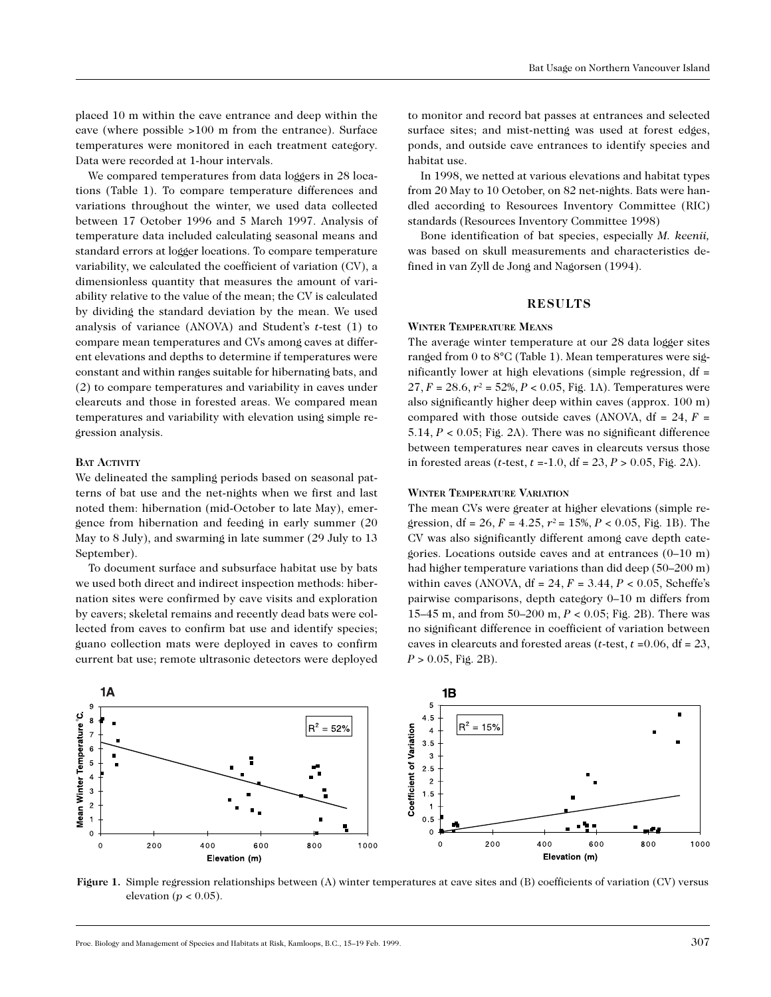placed 10 m within the cave entrance and deep within the cave (where possible >100 m from the entrance). Surface temperatures were monitored in each treatment category. Data were recorded at 1-hour intervals.

We compared temperatures from data loggers in 28 locations (Table 1). To compare temperature differences and variations throughout the winter, we used data collected between 17 October 1996 and 5 March 1997. Analysis of temperature data included calculating seasonal means and standard errors at logger locations. To compare temperature variability, we calculated the coefficient of variation (CV), a dimensionless quantity that measures the amount of variability relative to the value of the mean; the CV is calculated by dividing the standard deviation by the mean. We used analysis of variance (ANOVA) and Student's *t*-test (1) to compare mean temperatures and CVs among caves at different elevations and depths to determine if temperatures were constant and within ranges suitable for hibernating bats, and (2) to compare temperatures and variability in caves under clearcuts and those in forested areas. We compared mean temperatures and variability with elevation using simple regression analysis.

# **BAT ACTIVITY**

We delineated the sampling periods based on seasonal patterns of bat use and the net-nights when we first and last noted them: hibernation (mid-October to late May), emergence from hibernation and feeding in early summer (20 May to 8 July), and swarming in late summer (29 July to 13 September).

To document surface and subsurface habitat use by bats we used both direct and indirect inspection methods: hibernation sites were confirmed by cave visits and exploration by cavers; skeletal remains and recently dead bats were collected from caves to confirm bat use and identify species; guano collection mats were deployed in caves to confirm current bat use; remote ultrasonic detectors were deployed to monitor and record bat passes at entrances and selected surface sites; and mist-netting was used at forest edges, ponds, and outside cave entrances to identify species and habitat use.

In 1998, we netted at various elevations and habitat types from 20 May to 10 October, on 82 net-nights. Bats were handled according to Resources Inventory Committee (RIC) standards (Resources Inventory Committee 1998)

Bone identification of bat species, especially *M. keenii,* was based on skull measurements and characteristics defined in van Zyll de Jong and Nagorsen (1994).

# **RESULTS**

# **WINTER TEMPERATURE MEANS**

The average winter temperature at our 28 data logger sites ranged from 0 to 8°C (Table 1). Mean temperatures were significantly lower at high elevations (simple regression, df = 27,  $F = 28.6$ ,  $r^2 = 52\%, P < 0.05$ , Fig. 1A). Temperatures were also significantly higher deep within caves (approx. 100 m) compared with those outside caves (ANOVA,  $df = 24$ ,  $F =$ 5.14, *P* < 0.05; Fig. 2A). There was no significant difference between temperatures near caves in clearcuts versus those in forested areas (*t*-test, *t* =-1.0, df = 23, *P* > 0.05, Fig. 2A).

#### **WINTER TEMPERATURE VARIATION**

The mean CVs were greater at higher elevations (simple regression, df = 26,  $F = 4.25$ ,  $r^2 = 15\%, P < 0.05$ , Fig. 1B). The CV was also significantly different among cave depth categories. Locations outside caves and at entrances (0–10 m) had higher temperature variations than did deep (50–200 m) within caves (ANOVA,  $df = 24$ ,  $F = 3.44$ ,  $P < 0.05$ , Scheffe's pairwise comparisons, depth category 0–10 m differs from 15–45 m, and from 50–200 m, *P* < 0.05; Fig. 2B). There was no significant difference in coefficient of variation between caves in clearcuts and forested areas (*t*-test, *t* =0.06, df = 23, *P* > 0.05, Fig. 2B).



**Figure 1.** Simple regression relationships between (A) winter temperatures at cave sites and (B) coefficients of variation (CV) versus elevation ( $p < 0.05$ ).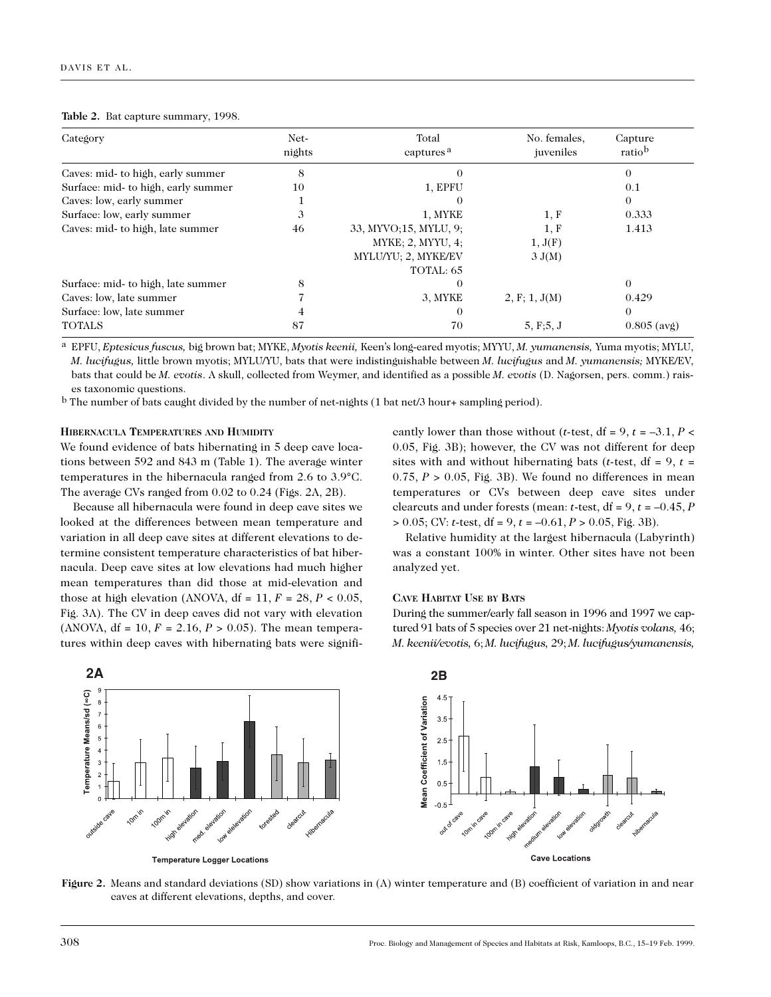#### **Table 2.** Bat capture summary, 1998.

| Category                            | Net-<br>nights | Total<br>captures <sup>a</sup> | No. females,<br>juveniles | Capture<br>ratiob |  |
|-------------------------------------|----------------|--------------------------------|---------------------------|-------------------|--|
| Caves: mid- to high, early summer   | 8              | $\Omega$                       |                           | $\Omega$          |  |
| Surface: mid- to high, early summer | 10             | 1, EPFU                        |                           | 0.1               |  |
| Caves: low, early summer            |                | $\theta$                       |                           | $\theta$          |  |
| Surface: low, early summer          | 3              | 1, MYKE                        | 1, F                      | 0.333             |  |
| Caves: mid- to high, late summer    | 46             | 33, MYVO;15, MYLU, 9;          | 1, F                      | 1.413             |  |
|                                     |                | MYKE; 2, MYYU, 4;              | 1, J(F)                   |                   |  |
|                                     |                | MYLU/YU; 2, MYKE/EV            | 3 J(M)                    |                   |  |
|                                     |                | TOTAL: 65                      |                           |                   |  |
| Surface: mid- to high, late summer  | 8              |                                |                           | $\Omega$          |  |
| Caves: low, late summer             |                | 3, MYKE                        | 2, F; 1, J(M)             | 0.429             |  |
| Surface: low, late summer           | 4              | $\theta$                       |                           | $\Omega$          |  |
| <b>TOTALS</b>                       | 87             | 70                             | 5, F; 5, J                | $0.805$ (avg)     |  |

a EPFU, *Eptesicus fuscus,* big brown bat; MYKE, *Myotis keenii,* Keen's long-eared myotis; MYYU, *M. yumanensis,* Yuma myotis; MYLU, *M. lucifugus,* little brown myotis; MYLU/YU, bats that were indistinguishable between *M. lucifugus* and *M. yumanensis;* MYKE/EV, bats that could be *M. evotis*. A skull, collected from Weymer, and identified as a possible *M. evotis* (D. Nagorsen, pers. comm.) raises taxonomic questions.

b The number of bats caught divided by the number of net-nights (1 bat net/3 hour+ sampling period).

#### **HIBERNACULA TEMPERATURES AND HUMIDITY**

We found evidence of bats hibernating in 5 deep cave locations between 592 and 843 m (Table 1). The average winter temperatures in the hibernacula ranged from 2.6 to 3.9°C. The average CVs ranged from 0.02 to 0.24 (Figs. 2A, 2B).

Because all hibernacula were found in deep cave sites we looked at the differences between mean temperature and variation in all deep cave sites at different elevations to determine consistent temperature characteristics of bat hibernacula. Deep cave sites at low elevations had much higher mean temperatures than did those at mid-elevation and those at high elevation (ANOVA,  $df = 11$ ,  $F = 28$ ,  $P < 0.05$ , Fig. 3A). The CV in deep caves did not vary with elevation (ANOVA,  $df = 10$ ,  $F = 2.16$ ,  $P > 0.05$ ). The mean temperatures within deep caves with hibernating bats were signifi-

cantly lower than those without (*t*-test,  $df = 9$ ,  $t = -3.1$ ,  $P \le$ 0.05, Fig. 3B); however, the CV was not different for deep sites with and without hibernating bats (*t*-test,  $df = 9$ ,  $t =$ 0.75,  $P > 0.05$ , Fig. 3B). We found no differences in mean temperatures or CVs between deep cave sites under clearcuts and under forests (mean: *t*-test,  $df = 9$ ,  $t = -0.45$ , *P* > 0.05; CV: *t*-test, df = 9, *t* = –0.61, *P* > 0.05, Fig. 3B).

Relative humidity at the largest hibernacula (Labyrinth) was a constant 100% in winter. Other sites have not been analyzed yet.

#### **CAVE HABITAT USE BY BATS**

During the summer/early fall season in 1996 and 1997 we captured 91 bats of 5 species over 21 net-nights: *Myotis volans,* 46; *M. keenii/evotis,* 6; *M. lucifugus,* 29; *M. lucifugus/yumanensis,*



**Temperature Logger Locations** 



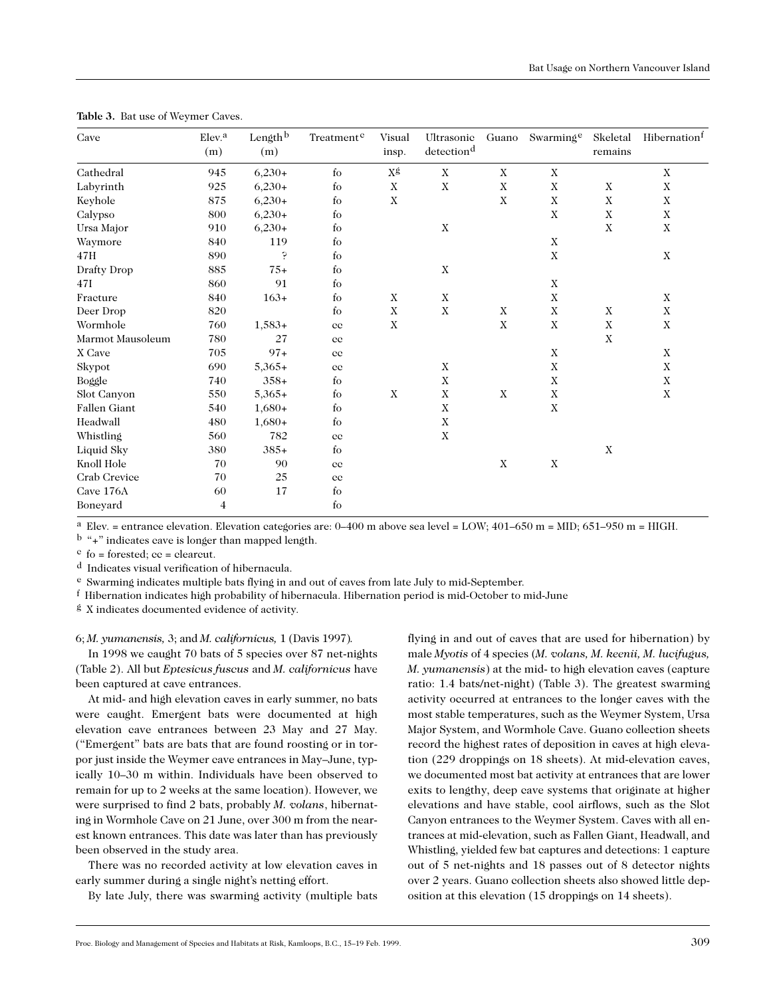| Cave             | Elev. <sup>a</sup><br>(m) | Length <sup>b</sup><br>(m) | Treatment <sup>e</sup> | Visual<br>insp. | Ultrasonic<br>detection <sup>d</sup> | Guano       | Swarming <sup>e</sup> | Skeletal<br>remains | Hibernation <sup>1</sup> |
|------------------|---------------------------|----------------------------|------------------------|-----------------|--------------------------------------|-------------|-----------------------|---------------------|--------------------------|
| Cathedral        | 945                       | $6,230+$                   | fo                     | ΧŚ              | $\mathbf X$                          | $\mathbf X$ | $\mathbf X$           |                     | $\mathbf X$              |
| Labyrinth        | 925                       | $6,230+$                   | $f_{\rm O}$            | $\mathbf X$     | $\mathbf X$                          | $\mathbf X$ | $\mathbf X$           | $\mathbf X$         | $\mathbf X$              |
| Keyhole          | 875                       | $6,230+$                   | fo                     | X               |                                      | X           | $\mathbf X$           | X                   | $\mathbf X$              |
| Calypso          | 800                       | $6,230+$                   | fo                     |                 |                                      |             | $\mathbf X$           | $\mathbf X$         | $\mathbf X$              |
| Ursa Major       | 910                       | $6,230+$                   | fo                     |                 | $\mathbf X$                          |             |                       | $\mathbf X$         | $\mathbf X$              |
| Waymore          | 840                       | 119                        | fo                     |                 |                                      |             | $\mathbf X$           |                     |                          |
| 47H              | 890                       | Ģ                          | fo                     |                 |                                      |             | $\mathbf X$           |                     | $\mathbf X$              |
| Drafty Drop      | 885                       | $75+$                      | fo                     |                 | $\mathbf X$                          |             |                       |                     |                          |
| 47I              | 860                       | 91                         | fo                     |                 |                                      |             | $\mathbf X$           |                     |                          |
| Fracture         | 840                       | $163+$                     | fo                     | $\mathbf X$     | $\mathbf X$                          |             | $\mathbf X$           |                     | $\mathbf X$              |
| Deer Drop        | 820                       |                            | f <sub>O</sub>         | $\mathbf X$     | $\mathbf X$                          | $\mathbf X$ | $\mathbf X$           | $\mathbf X$         | $\mathbf X$              |
| Wormhole         | 760                       | $1,583+$                   | $_{\rm cc}$            | $\mathbf X$     |                                      | $\mathbf X$ | $\mathbf X$           | $\mathbf X$         | $\mathbf X$              |
| Marmot Mausoleum | 780                       | 27                         | $_{\rm cc}$            |                 |                                      |             |                       | X                   |                          |
| X Cave           | 705                       | $97+$                      | $_{\rm cc}$            |                 |                                      |             | $\mathbf X$           |                     | $\mathbf X$              |
| Skypot           | 690                       | $5,365+$                   | $_{\rm cc}$            |                 | $\mathbf X$                          |             | $\mathbf X$           |                     | X                        |
| Boggle           | 740                       | $358+$                     | fo                     |                 | $\mathbf X$                          |             | $\mathbf X$           |                     | $\mathbf X$              |
| Slot Canyon      | 550                       | $5,365+$                   | fo                     | $\mathbf X$     | $\mathbf X$                          | $\mathbf X$ | $\mathbf X$           |                     | $\mathbf X$              |
| Fallen Giant     | 540                       | $1,680+$                   | fo                     |                 | $\mathbf X$                          |             | $\mathbf X$           |                     |                          |
| Headwall         | 480                       | $1,680+$                   | $f_{O}$                |                 | $\mathbf X$                          |             |                       |                     |                          |
| Whistling        | 560                       | 782                        | $_{\rm cc}$            |                 | $\mathbf X$                          |             |                       |                     |                          |
| Liquid Sky       | 380                       | $385+$                     | $f_{\rm O}$            |                 |                                      |             |                       | $\mathbf X$         |                          |
| Knoll Hole       | 70                        | $90\,$                     | $_{\rm cc}$            |                 |                                      | $\mathbf X$ | $\mathbf X$           |                     |                          |
| Crab Crevice     | 70                        | 25                         | $_{\rm cc}$            |                 |                                      |             |                       |                     |                          |
| Cave 176A        | 60                        | 17                         | $f_{\rm O}$            |                 |                                      |             |                       |                     |                          |
| Boneyard         | 4                         |                            | $f_{O}$                |                 |                                      |             |                       |                     |                          |

**Table 3.** Bat use of Weymer Caves.

<sup>a</sup> Elev. = entrance elevation. Elevation categories are:  $0-400$  m above sea level = LOW;  $401-650$  m = MID;  $651-950$  m = HIGH.

b "+" indicates cave is longer than mapped length.

 $c$  fo = forested;  $cc$  = clearcut.

d Indicates visual verification of hibernacula.

e Swarming indicates multiple bats flying in and out of caves from late July to mid-September.

f Hibernation indicates high probability of hibernacula. Hibernation period is mid-October to mid-June

g X indicates documented evidence of activity.

6; *M. yumanensis,* 3; and *M. californicus,* 1 (Davis 1997)*.*

In 1998 we caught 70 bats of 5 species over 87 net-nights (Table 2). All but *Eptesicus fuscus* and *M. californicus* have been captured at cave entrances.

At mid- and high elevation caves in early summer, no bats were caught. Emergent bats were documented at high elevation cave entrances between 23 May and 27 May. ("Emergent" bats are bats that are found roosting or in torpor just inside the Weymer cave entrances in May–June, typically 10–30 m within. Individuals have been observed to remain for up to 2 weeks at the same location). However, we were surprised to find 2 bats, probably *M. volans*, hibernating in Wormhole Cave on 21 June, over 300 m from the nearest known entrances. This date was later than has previously been observed in the study area.

There was no recorded activity at low elevation caves in early summer during a single night's netting effort.

By late July, there was swarming activity (multiple bats

flying in and out of caves that are used for hibernation) by male *Myotis* of 4 species (*M. volans, M. keenii, M. lucifugus, M. yumanensis*) at the mid- to high elevation caves (capture ratio: 1.4 bats/net-night) (Table 3). The greatest swarming activity occurred at entrances to the longer caves with the most stable temperatures, such as the Weymer System, Ursa Major System, and Wormhole Cave. Guano collection sheets record the highest rates of deposition in caves at high elevation (229 droppings on 18 sheets). At mid-elevation caves, we documented most bat activity at entrances that are lower exits to lengthy, deep cave systems that originate at higher elevations and have stable, cool airflows, such as the Slot Canyon entrances to the Weymer System. Caves with all entrances at mid-elevation, such as Fallen Giant, Headwall, and Whistling, yielded few bat captures and detections: 1 capture out of 5 net-nights and 18 passes out of 8 detector nights over 2 years. Guano collection sheets also showed little deposition at this elevation (15 droppings on 14 sheets).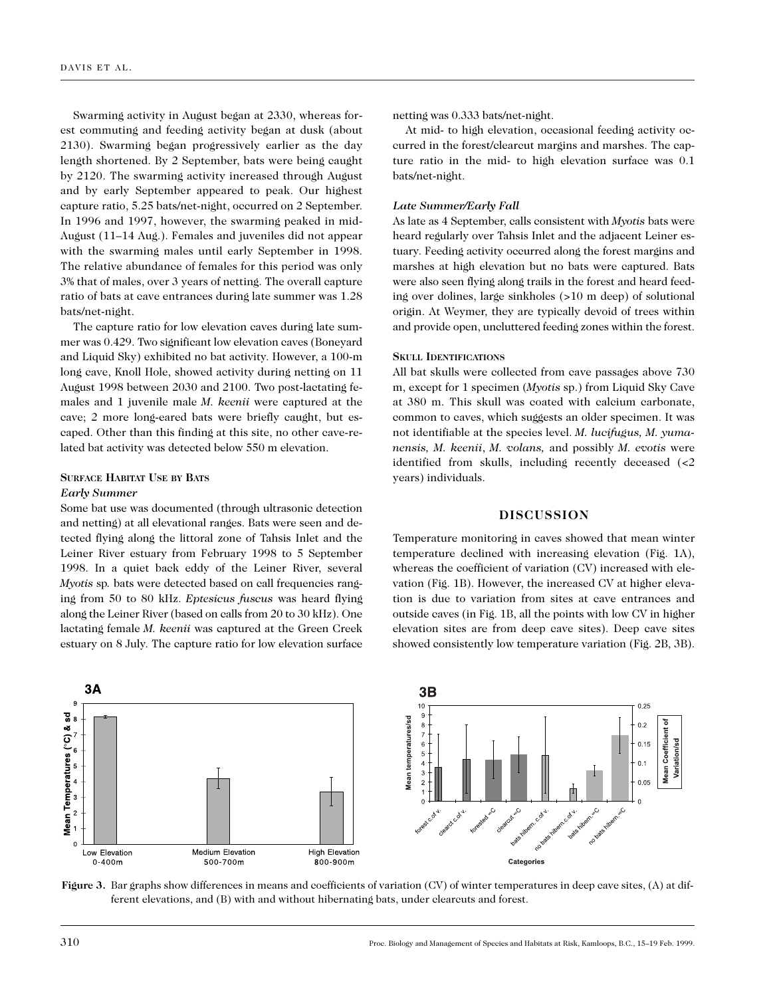Swarming activity in August began at 2330, whereas forest commuting and feeding activity began at dusk (about 2130). Swarming began progressively earlier as the day length shortened. By 2 September, bats were being caught by 2120. The swarming activity increased through August and by early September appeared to peak. Our highest capture ratio, 5.25 bats/net-night, occurred on 2 September. In 1996 and 1997, however, the swarming peaked in mid-August (11–14 Aug.). Females and juveniles did not appear with the swarming males until early September in 1998. The relative abundance of females for this period was only 3% that of males, over 3 years of netting. The overall capture ratio of bats at cave entrances during late summer was 1.28 bats/net-night.

The capture ratio for low elevation caves during late summer was 0.429. Two significant low elevation caves (Boneyard and Liquid Sky) exhibited no bat activity. However, a 100-m long cave, Knoll Hole, showed activity during netting on 11 August 1998 between 2030 and 2100. Two post-lactating females and 1 juvenile male *M. keenii* were captured at the cave; 2 more long-eared bats were briefly caught, but escaped. Other than this finding at this site, no other cave-related bat activity was detected below 550 m elevation.

# **SURFACE HABITAT USE BY BATS**

# *Early Summer*

Some bat use was documented (through ultrasonic detection and netting) at all elevational ranges. Bats were seen and detected flying along the littoral zone of Tahsis Inlet and the Leiner River estuary from February 1998 to 5 September 1998. In a quiet back eddy of the Leiner River, several *Myotis* sp*.* bats were detected based on call frequencies ranging from 50 to 80 kHz. *Eptesicus fuscus* was heard flying along the Leiner River (based on calls from 20 to 30 kHz). One lactating female *M. keenii* was captured at the Green Creek estuary on 8 July. The capture ratio for low elevation surface

netting was 0.333 bats/net-night.

At mid- to high elevation, occasional feeding activity occurred in the forest/clearcut margins and marshes. The capture ratio in the mid- to high elevation surface was 0.1 bats/net-night.

# *Late Summer/Early Fall*

As late as 4 September, calls consistent with *Myotis* bats were heard regularly over Tahsis Inlet and the adjacent Leiner estuary. Feeding activity occurred along the forest margins and marshes at high elevation but no bats were captured. Bats were also seen flying along trails in the forest and heard feeding over dolines, large sinkholes (>10 m deep) of solutional origin. At Weymer, they are typically devoid of trees within and provide open, uncluttered feeding zones within the forest.

# **SKULL IDENTIFICATIONS**

All bat skulls were collected from cave passages above 730 m, except for 1 specimen (*Myotis* sp.) from Liquid Sky Cave at 380 m. This skull was coated with calcium carbonate, common to caves, which suggests an older specimen. It was not identifiable at the species level. *M. lucifugus, M. yumanensis, M. keenii*, *M. volans,* and possibly *M. evotis* were identified from skulls, including recently deceased (<2 years) individuals.

#### **DISCUSSION**

Temperature monitoring in caves showed that mean winter temperature declined with increasing elevation (Fig. 1A), whereas the coefficient of variation (CV) increased with elevation (Fig. 1B). However, the increased CV at higher elevation is due to variation from sites at cave entrances and outside caves (in Fig. 1B, all the points with low CV in higher elevation sites are from deep cave sites). Deep cave sites showed consistently low temperature variation (Fig. 2B, 3B).



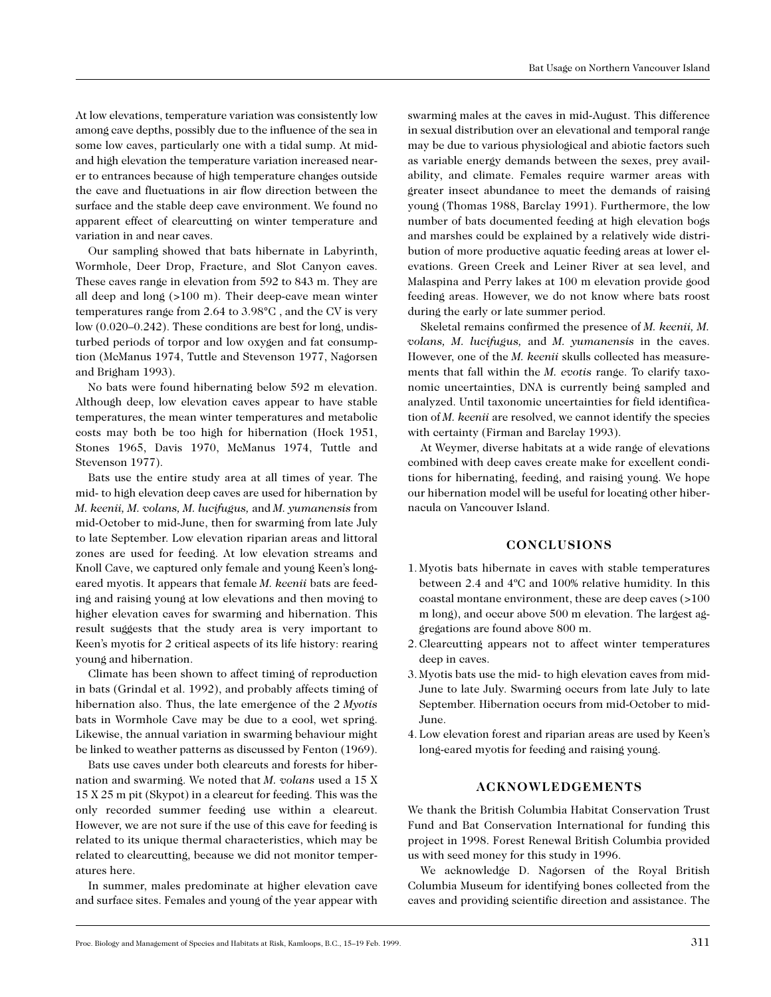At low elevations, temperature variation was consistently low among cave depths, possibly due to the influence of the sea in some low caves, particularly one with a tidal sump. At midand high elevation the temperature variation increased nearer to entrances because of high temperature changes outside the cave and fluctuations in air flow direction between the surface and the stable deep cave environment. We found no apparent effect of clearcutting on winter temperature and variation in and near caves.

Our sampling showed that bats hibernate in Labyrinth, Wormhole, Deer Drop, Fracture, and Slot Canyon caves. These caves range in elevation from 592 to 843 m. They are all deep and long (>100 m). Their deep-cave mean winter temperatures range from 2.64 to 3.98°C , and the CV is very low (0.020–0.242). These conditions are best for long, undisturbed periods of torpor and low oxygen and fat consumption (McManus 1974, Tuttle and Stevenson 1977, Nagorsen and Brigham 1993).

No bats were found hibernating below 592 m elevation. Although deep, low elevation caves appear to have stable temperatures, the mean winter temperatures and metabolic costs may both be too high for hibernation (Hock 1951, Stones 1965, Davis 1970, McManus 1974, Tuttle and Stevenson 1977).

Bats use the entire study area at all times of year. The mid- to high elevation deep caves are used for hibernation by *M. keenii, M. volans, M. lucifugus,* and *M. yumanensis* from mid-October to mid-June, then for swarming from late July to late September. Low elevation riparian areas and littoral zones are used for feeding. At low elevation streams and Knoll Cave, we captured only female and young Keen's longeared myotis. It appears that female *M. keenii* bats are feeding and raising young at low elevations and then moving to higher elevation caves for swarming and hibernation. This result suggests that the study area is very important to Keen's myotis for 2 critical aspects of its life history: rearing young and hibernation.

Climate has been shown to affect timing of reproduction in bats (Grindal et al. 1992), and probably affects timing of hibernation also. Thus, the late emergence of the 2 *Myotis* bats in Wormhole Cave may be due to a cool, wet spring. Likewise, the annual variation in swarming behaviour might be linked to weather patterns as discussed by Fenton (1969).

Bats use caves under both clearcuts and forests for hibernation and swarming. We noted that *M. volans* used a 15 X 15 X 25 m pit (Skypot) in a clearcut for feeding. This was the only recorded summer feeding use within a clearcut. However, we are not sure if the use of this cave for feeding is related to its unique thermal characteristics, which may be related to clearcutting, because we did not monitor temperatures here.

In summer, males predominate at higher elevation cave and surface sites. Females and young of the year appear with

swarming males at the caves in mid-August. This difference in sexual distribution over an elevational and temporal range may be due to various physiological and abiotic factors such as variable energy demands between the sexes, prey availability, and climate. Females require warmer areas with greater insect abundance to meet the demands of raising young (Thomas 1988, Barclay 1991). Furthermore, the low number of bats documented feeding at high elevation bogs and marshes could be explained by a relatively wide distribution of more productive aquatic feeding areas at lower elevations. Green Creek and Leiner River at sea level, and Malaspina and Perry lakes at 100 m elevation provide good feeding areas. However, we do not know where bats roost during the early or late summer period.

Skeletal remains confirmed the presence of *M. keenii, M. volans, M. lucifugus,* and *M. yumanensis* in the caves. However, one of the *M. keenii* skulls collected has measurements that fall within the *M. evotis* range. To clarify taxonomic uncertainties, DNA is currently being sampled and analyzed. Until taxonomic uncertainties for field identification of *M. keenii* are resolved, we cannot identify the species with certainty (Firman and Barclay 1993).

At Weymer, diverse habitats at a wide range of elevations combined with deep caves create make for excellent conditions for hibernating, feeding, and raising young. We hope our hibernation model will be useful for locating other hibernacula on Vancouver Island.

# **CONCLUSIONS**

- 1. Myotis bats hibernate in caves with stable temperatures between 2.4 and 4ºC and 100% relative humidity. In this coastal montane environment, these are deep caves (>100 m long), and occur above 500 m elevation. The largest aggregations are found above 800 m.
- 2. Clearcutting appears not to affect winter temperatures deep in caves.
- 3. Myotis bats use the mid- to high elevation caves from mid-June to late July. Swarming occurs from late July to late September. Hibernation occurs from mid-October to mid-June.
- 4. Low elevation forest and riparian areas are used by Keen's long-eared myotis for feeding and raising young.

# **ACKNOWLEDGEMENTS**

We thank the British Columbia Habitat Conservation Trust Fund and Bat Conservation International for funding this project in 1998. Forest Renewal British Columbia provided us with seed money for this study in 1996.

We acknowledge D. Nagorsen of the Royal British Columbia Museum for identifying bones collected from the caves and providing scientific direction and assistance. The